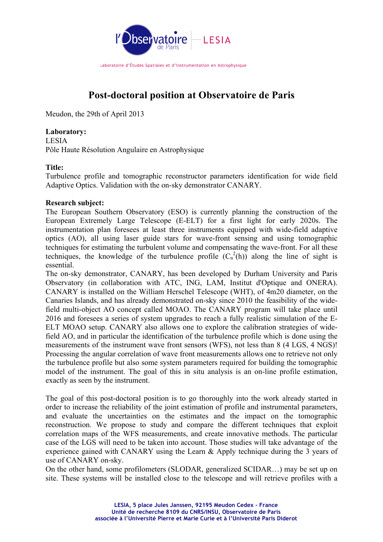

Laboratoire d'Études Spatiales et d'Instrumentation en Astrophysique

# **Post-doctoral position at Observatoire de Paris**

Meudon, the 29th of April 2013

# **Laboratory:**

LESIA Pôle Haute Résolution Angulaire en Astrophysique

# **Title:**

Turbulence profile and tomographic reconstructor parameters identification for wide field Adaptive Optics. Validation with the on-sky demonstrator CANARY.

# **Research subject:**

The European Southern Observatory (ESO) is currently planning the construction of the European Extremely Large Telescope (E-ELT) for a first light for early 2020s. The instrumentation plan foresees at least three instruments equipped with wide-field adaptive optics (AO), all using laser guide stars for wave-front sensing and using tomographic techniques for estimating the turbulent volume and compensating the wave-front. For all these techniques, the knowledge of the turbulence profile  $(C_n^2(h))$  along the line of sight is essential.

The on-sky demonstrator, CANARY, has been developed by Durham University and Paris Observatory (in collaboration with ATC, ING, LAM, Institut d'Optique and ONERA). CANARY is installed on the William Herschel Telescope (WHT), of 4m20 diameter, on the Canaries Islands, and has already demonstrated on-sky since 2010 the feasibility of the widefield multi-object AO concept called MOAO. The CANARY program will take place until 2016 and foresees a series of system upgrades to reach a fully realistic simulation of the E-ELT MOAO setup. CANARY also allows one to explore the calibration strategies of widefield AO, and in particular the identification of the turbulence profile which is done using the measurements of the instrument wave front sensors (WFS), not less than 8 (4 LGS, 4 NGS)! Processing the angular correlation of wave front measurements allows one to retrieve not only the turbulence profile but also some system parameters required for building the tomographic model of the instrument. The goal of this in situ analysis is an on-line profile estimation, exactly as seen by the instrument.

The goal of this post-doctoral position is to go thoroughly into the work already started in order to increase the reliability of the joint estimation of profile and instrumental parameters, and evaluate the uncertainties on the estimates and the impact on the tomographic reconstruction. We propose to study and compare the different techniques that exploit correlation maps of the WFS measurements, and create innovative methods. The particular case of the LGS will need to be taken into account. Those studies will take advantage of the experience gained with CANARY using the Learn & Apply technique during the 3 years of use of CANARY on-sky.

On the other hand, some profilometers (SLODAR, generalized SCIDAR…) may be set up on site. These systems will be installed close to the telescope and will retrieve profiles with a